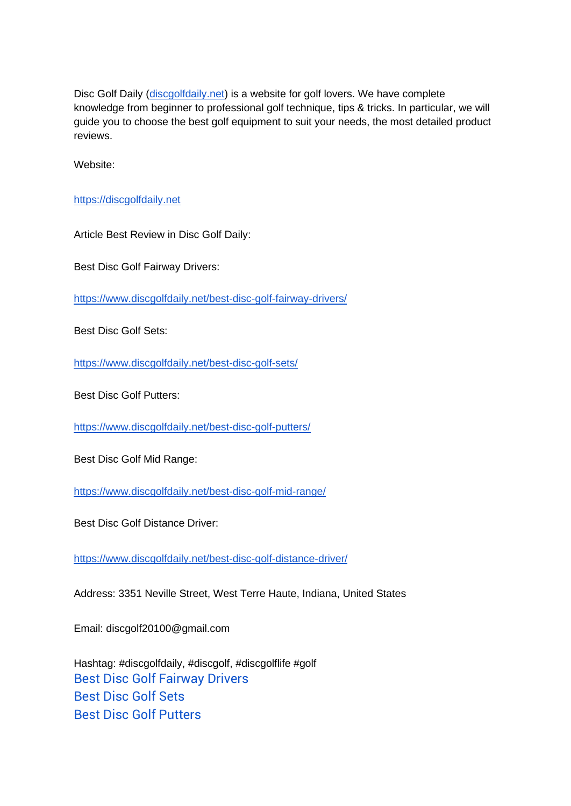Disc Golf Daily [\(discgolfdaily.net\)](https://discgolfdaily.net/) is a website for golf lovers. We have complete knowledge from beginner to professional golf technique, tips & tricks. In particular, we will guide you to choose the best golf equipment to suit your needs, the most detailed product reviews.

Website:

[https://discgolfdaily.net](https://discgolfdaily.net/)

Article Best Review in Disc Golf Daily:

Best Disc Golf Fairway Drivers:

<https://www.discgolfdaily.net/best-disc-golf-fairway-drivers/>

Best Disc Golf Sets:

<https://www.discgolfdaily.net/best-disc-golf-sets/>

Best Disc Golf Putters:

<https://www.discgolfdaily.net/best-disc-golf-putters/>

Best Disc Golf Mid Range:

<https://www.discgolfdaily.net/best-disc-golf-mid-range/>

Best Disc Golf Distance Driver:

<https://www.discgolfdaily.net/best-disc-golf-distance-driver/>

Address: 3351 Neville Street, West Terre Haute, Indiana, United States

Email: discgolf20100@gmail.com

Hashtag: #discgolfdaily, #discgolf, #discgolflife #golf [Best Disc Golf Fairway Drivers](https://www.discgolfdaily.net/best-disc-golf-fairway-drivers/) [Best Disc Golf Sets](https://www.discgolfdaily.net/best-disc-golf-sets/) [Best Disc Golf Putters](https://www.discgolfdaily.net/best-disc-golf-putters/)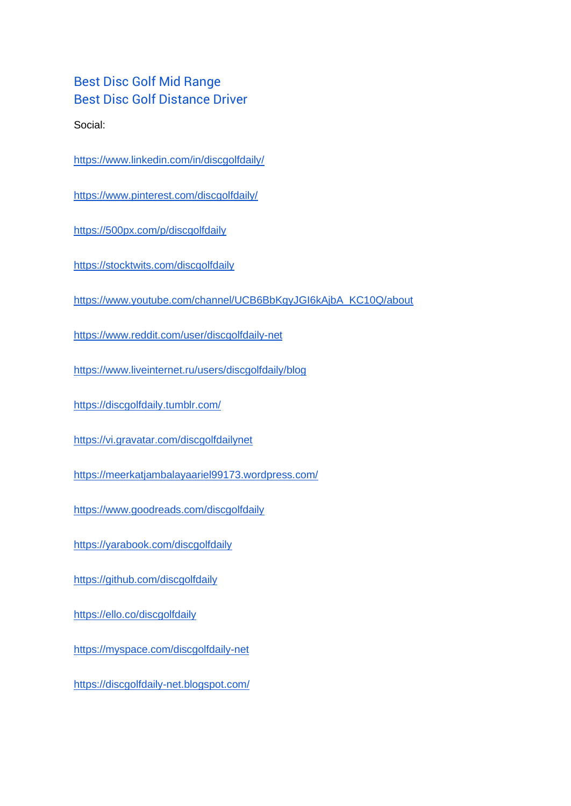## [Best Disc Golf Mid Range](https://www.discgolfdaily.net/best-disc-golf-mid-range/) [Best Disc Golf Distance Driver](https://www.discgolfdaily.net/best-disc-golf-distance-driver/)

Social:

<https://www.linkedin.com/in/discgolfdaily/>

<https://www.pinterest.com/discgolfdaily/>

<https://500px.com/p/discgolfdaily>

<https://stocktwits.com/discgolfdaily>

[https://www.youtube.com/channel/UCB6BbKgyJGI6kAjbA\\_KC10Q/about](https://www.youtube.com/channel/UCB6BbKgyJGI6kAjbA_KC10Q/about)

<https://www.reddit.com/user/discgolfdaily-net>

<https://www.liveinternet.ru/users/discgolfdaily/blog>

<https://discgolfdaily.tumblr.com/>

<https://vi.gravatar.com/discgolfdailynet>

<https://meerkatjambalayaariel99173.wordpress.com/>

<https://www.goodreads.com/discgolfdaily>

<https://yarabook.com/discgolfdaily>

<https://github.com/discgolfdaily>

<https://ello.co/discgolfdaily>

<https://myspace.com/discgolfdaily-net>

<https://discgolfdaily-net.blogspot.com/>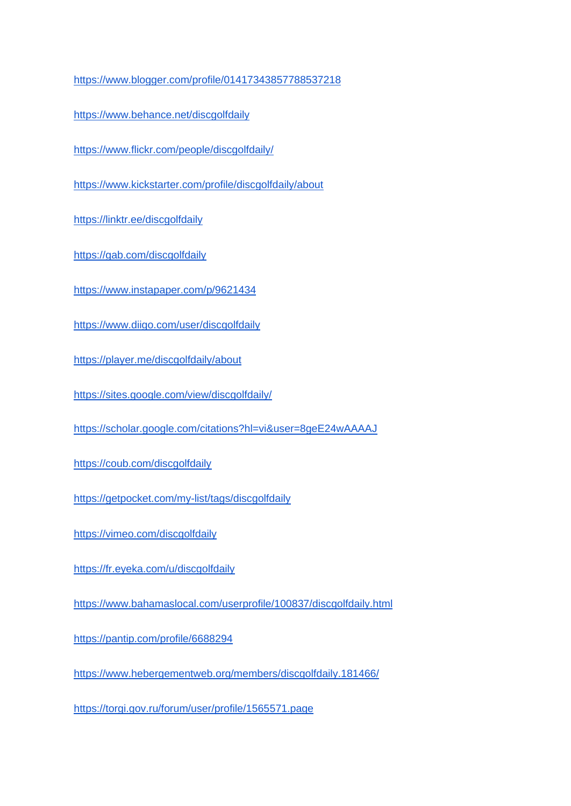<https://www.blogger.com/profile/01417343857788537218>

<https://www.behance.net/discgolfdaily>

<https://www.flickr.com/people/discgolfdaily/>

<https://www.kickstarter.com/profile/discgolfdaily/about>

<https://linktr.ee/discgolfdaily>

<https://gab.com/discgolfdaily>

<https://www.instapaper.com/p/9621434>

<https://www.diigo.com/user/discgolfdaily>

<https://player.me/discgolfdaily/about>

<https://sites.google.com/view/discgolfdaily/>

<https://scholar.google.com/citations?hl=vi&user=8geE24wAAAAJ>

<https://coub.com/discgolfdaily>

<https://getpocket.com/my-list/tags/discgolfdaily>

<https://vimeo.com/discgolfdaily>

<https://fr.eyeka.com/u/discgolfdaily>

<https://www.bahamaslocal.com/userprofile/100837/discgolfdaily.html>

<https://pantip.com/profile/6688294>

<https://www.hebergementweb.org/members/discgolfdaily.181466/>

<https://torgi.gov.ru/forum/user/profile/1565571.page>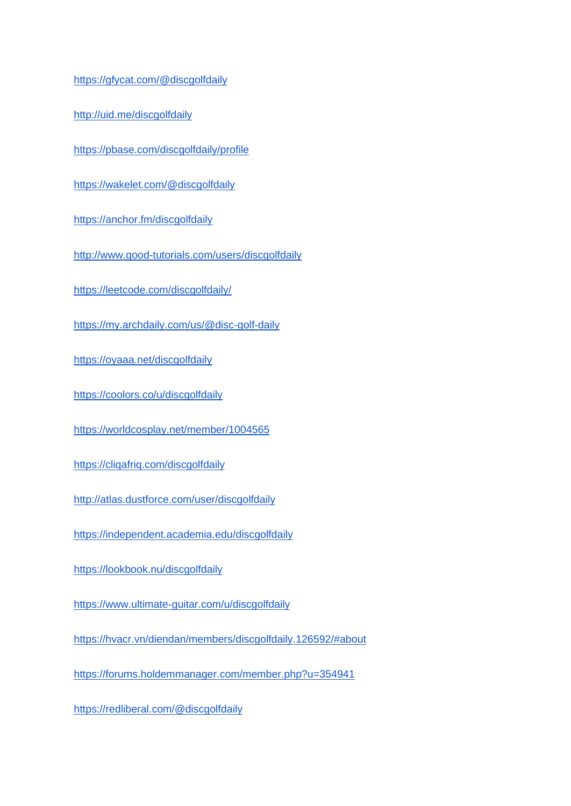<https://gfycat.com/@discgolfdaily>

<http://uid.me/discgolfdaily>

<https://pbase.com/discgolfdaily/profile>

<https://wakelet.com/@discgolfdaily>

<https://anchor.fm/discgolfdaily>

<http://www.good-tutorials.com/users/discgolfdaily>

<https://leetcode.com/discgolfdaily/>

<https://my.archdaily.com/us/@disc-golf-daily>

<https://oyaaa.net/discgolfdaily>

<https://coolors.co/u/discgolfdaily>

<https://worldcosplay.net/member/1004565>

<https://cliqafriq.com/discgolfdaily>

<http://atlas.dustforce.com/user/discgolfdaily>

<https://independent.academia.edu/discgolfdaily>

<https://lookbook.nu/discgolfdaily>

<https://www.ultimate-guitar.com/u/discgolfdaily>

<https://hvacr.vn/diendan/members/discgolfdaily.126592/#about>

<https://forums.holdemmanager.com/member.php?u=354941>

<https://redliberal.com/@discgolfdaily>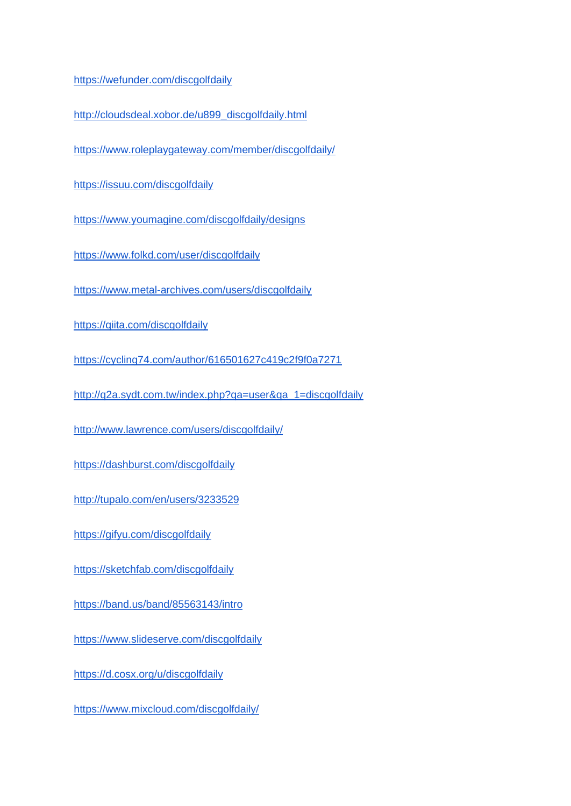<https://wefunder.com/discgolfdaily>

[http://cloudsdeal.xobor.de/u899\\_discgolfdaily.html](http://cloudsdeal.xobor.de/u899_discgolfdaily.html)

<https://www.roleplaygateway.com/member/discgolfdaily/>

<https://issuu.com/discgolfdaily>

<https://www.youmagine.com/discgolfdaily/designs>

<https://www.folkd.com/user/discgolfdaily>

<https://www.metal-archives.com/users/discgolfdaily>

<https://qiita.com/discgolfdaily>

<https://cycling74.com/author/616501627c419c2f9f0a7271>

[http://q2a.sydt.com.tw/index.php?qa=user&qa\\_1=discgolfdaily](http://q2a.sydt.com.tw/index.php?qa=user&qa_1=discgolfdaily)

<http://www.lawrence.com/users/discgolfdaily/>

<https://dashburst.com/discgolfdaily>

<http://tupalo.com/en/users/3233529>

<https://gifyu.com/discgolfdaily>

<https://sketchfab.com/discgolfdaily>

<https://band.us/band/85563143/intro>

<https://www.slideserve.com/discgolfdaily>

<https://d.cosx.org/u/discgolfdaily>

<https://www.mixcloud.com/discgolfdaily/>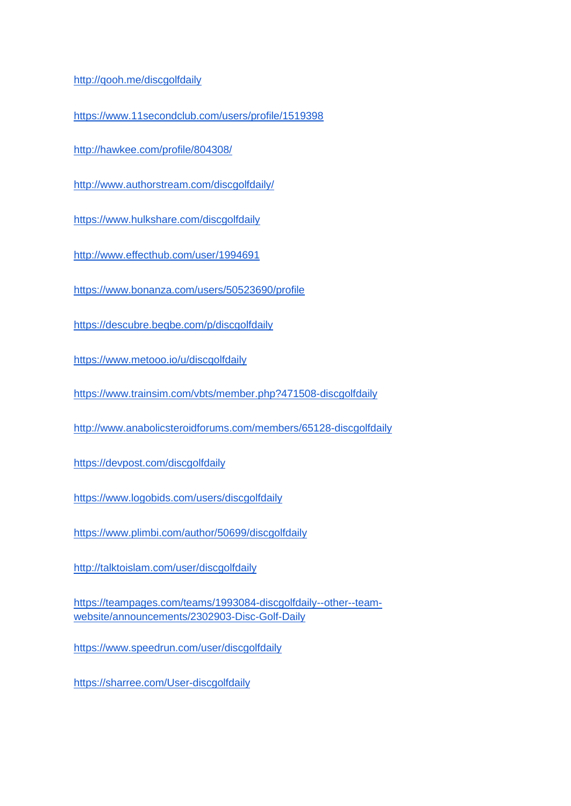<http://qooh.me/discgolfdaily>

<https://www.11secondclub.com/users/profile/1519398>

<http://hawkee.com/profile/804308/>

<http://www.authorstream.com/discgolfdaily/>

<https://www.hulkshare.com/discgolfdaily>

<http://www.effecthub.com/user/1994691>

<https://www.bonanza.com/users/50523690/profile>

<https://descubre.beqbe.com/p/discgolfdaily>

<https://www.metooo.io/u/discgolfdaily>

<https://www.trainsim.com/vbts/member.php?471508-discgolfdaily>

<http://www.anabolicsteroidforums.com/members/65128-discgolfdaily>

<https://devpost.com/discgolfdaily>

<https://www.logobids.com/users/discgolfdaily>

<https://www.plimbi.com/author/50699/discgolfdaily>

<http://talktoislam.com/user/discgolfdaily>

[https://teampages.com/teams/1993084-discgolfdaily--other--team](https://teampages.com/teams/1993084-discgolfdaily--other--team-website/announcements/2302903-Disc-Golf-Daily)[website/announcements/2302903-Disc-Golf-Daily](https://teampages.com/teams/1993084-discgolfdaily--other--team-website/announcements/2302903-Disc-Golf-Daily)

<https://www.speedrun.com/user/discgolfdaily>

<https://sharree.com/User-discgolfdaily>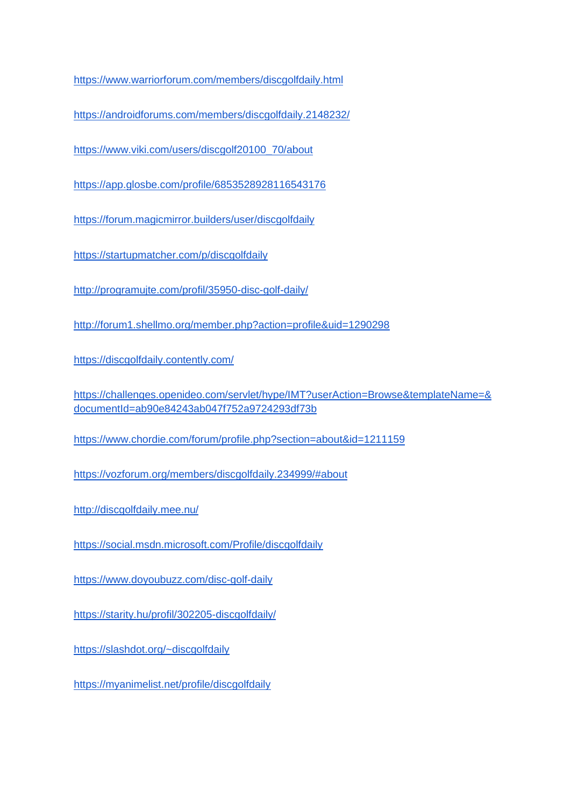<https://www.warriorforum.com/members/discgolfdaily.html>

<https://androidforums.com/members/discgolfdaily.2148232/>

[https://www.viki.com/users/discgolf20100\\_70/about](https://www.viki.com/users/discgolf20100_70/about)

<https://app.glosbe.com/profile/6853528928116543176>

<https://forum.magicmirror.builders/user/discgolfdaily>

<https://startupmatcher.com/p/discgolfdaily>

<http://programujte.com/profil/35950-disc-golf-daily/>

<http://forum1.shellmo.org/member.php?action=profile&uid=1290298>

<https://discgolfdaily.contently.com/>

[https://challenges.openideo.com/servlet/hype/IMT?userAction=Browse&templateName=&](https://challenges.openideo.com/servlet/hype/IMT?userAction=Browse&templateName=&documentId=ab90e84243ab047f752a9724293df73b) [documentId=ab90e84243ab047f752a9724293df73b](https://challenges.openideo.com/servlet/hype/IMT?userAction=Browse&templateName=&documentId=ab90e84243ab047f752a9724293df73b)

<https://www.chordie.com/forum/profile.php?section=about&id=1211159>

<https://vozforum.org/members/discgolfdaily.234999/#about>

<http://discgolfdaily.mee.nu/>

<https://social.msdn.microsoft.com/Profile/discgolfdaily>

<https://www.doyoubuzz.com/disc-golf-daily>

<https://starity.hu/profil/302205-discgolfdaily/>

<https://slashdot.org/~discgolfdaily>

<https://myanimelist.net/profile/discgolfdaily>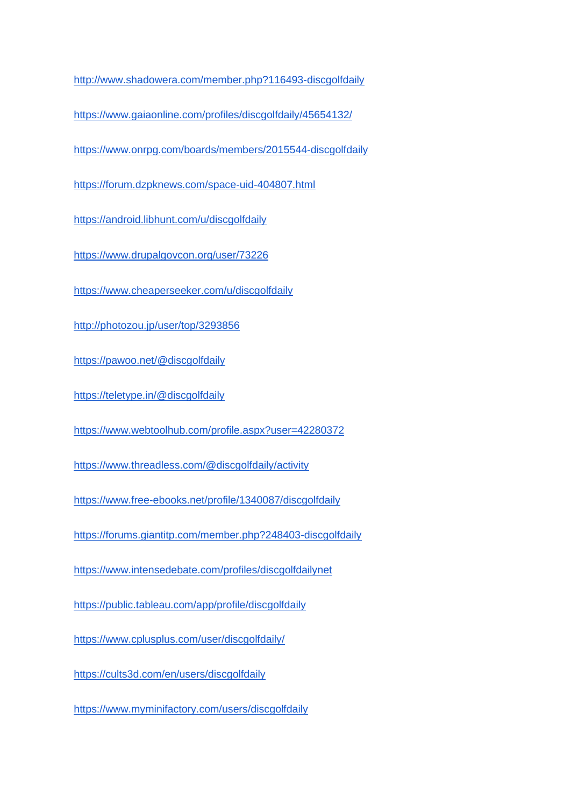<http://www.shadowera.com/member.php?116493-discgolfdaily>

<https://www.gaiaonline.com/profiles/discgolfdaily/45654132/>

<https://www.onrpg.com/boards/members/2015544-discgolfdaily>

<https://forum.dzpknews.com/space-uid-404807.html>

<https://android.libhunt.com/u/discgolfdaily>

<https://www.drupalgovcon.org/user/73226>

<https://www.cheaperseeker.com/u/discgolfdaily>

<http://photozou.jp/user/top/3293856>

<https://pawoo.net/@discgolfdaily>

<https://teletype.in/@discgolfdaily>

<https://www.webtoolhub.com/profile.aspx?user=42280372>

<https://www.threadless.com/@discgolfdaily/activity>

<https://www.free-ebooks.net/profile/1340087/discgolfdaily>

<https://forums.giantitp.com/member.php?248403-discgolfdaily>

<https://www.intensedebate.com/profiles/discgolfdailynet>

<https://public.tableau.com/app/profile/discgolfdaily>

<https://www.cplusplus.com/user/discgolfdaily/>

<https://cults3d.com/en/users/discgolfdaily>

<https://www.myminifactory.com/users/discgolfdaily>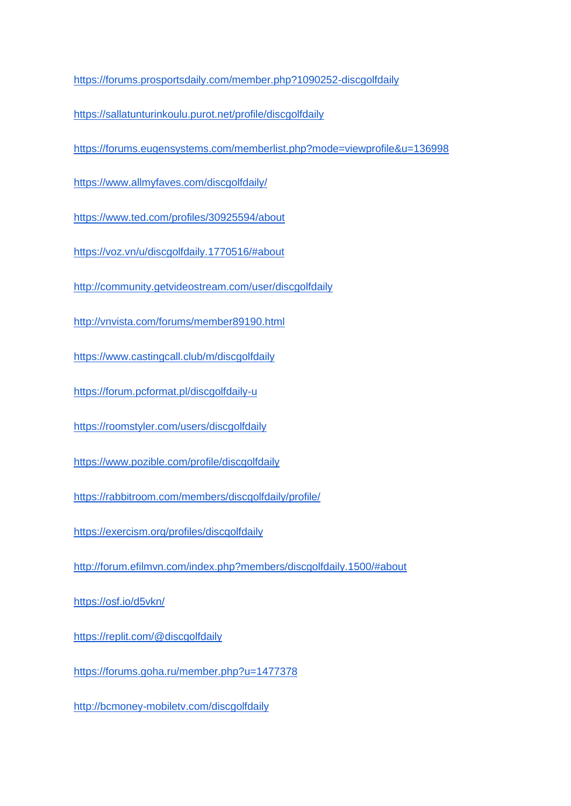<https://forums.prosportsdaily.com/member.php?1090252-discgolfdaily>

<https://sallatunturinkoulu.purot.net/profile/discgolfdaily>

<https://forums.eugensystems.com/memberlist.php?mode=viewprofile&u=136998>

<https://www.allmyfaves.com/discgolfdaily/>

<https://www.ted.com/profiles/30925594/about>

<https://voz.vn/u/discgolfdaily.1770516/#about>

<http://community.getvideostream.com/user/discgolfdaily>

<http://vnvista.com/forums/member89190.html>

<https://www.castingcall.club/m/discgolfdaily>

<https://forum.pcformat.pl/discgolfdaily-u>

<https://roomstyler.com/users/discgolfdaily>

<https://www.pozible.com/profile/discgolfdaily>

<https://rabbitroom.com/members/discgolfdaily/profile/>

<https://exercism.org/profiles/discgolfdaily>

<http://forum.efilmvn.com/index.php?members/discgolfdaily.1500/#about>

<https://osf.io/d5vkn/>

<https://replit.com/@discgolfdaily>

<https://forums.goha.ru/member.php?u=1477378>

<http://bcmoney-mobiletv.com/discgolfdaily>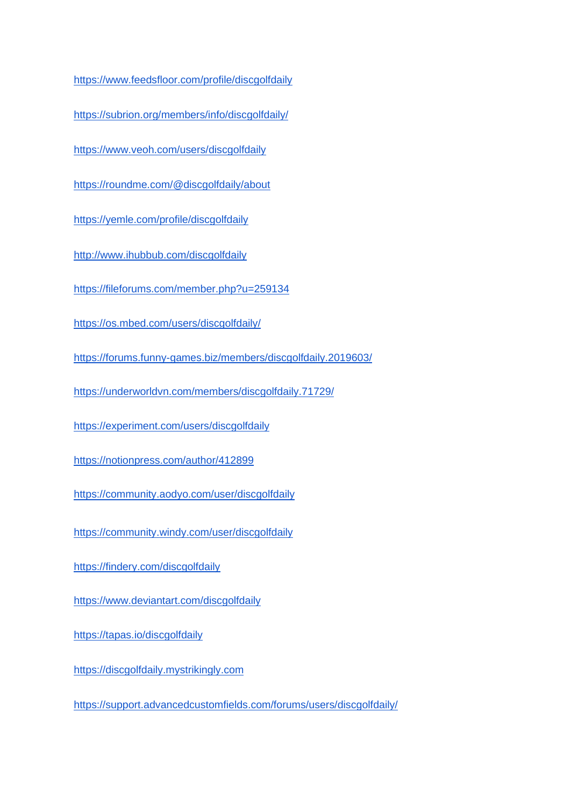<https://www.feedsfloor.com/profile/discgolfdaily>

<https://subrion.org/members/info/discgolfdaily/>

<https://www.veoh.com/users/discgolfdaily>

<https://roundme.com/@discgolfdaily/about>

<https://yemle.com/profile/discgolfdaily>

<http://www.ihubbub.com/discgolfdaily>

<https://fileforums.com/member.php?u=259134>

<https://os.mbed.com/users/discgolfdaily/>

<https://forums.funny-games.biz/members/discgolfdaily.2019603/>

<https://underworldvn.com/members/discgolfdaily.71729/>

<https://experiment.com/users/discgolfdaily>

<https://notionpress.com/author/412899>

<https://community.aodyo.com/user/discgolfdaily>

<https://community.windy.com/user/discgolfdaily>

<https://findery.com/discgolfdaily>

<https://www.deviantart.com/discgolfdaily>

<https://tapas.io/discgolfdaily>

[https://discgolfdaily.mystrikingly.com](https://discgolfdaily.mystrikingly.com/)

<https://support.advancedcustomfields.com/forums/users/discgolfdaily/>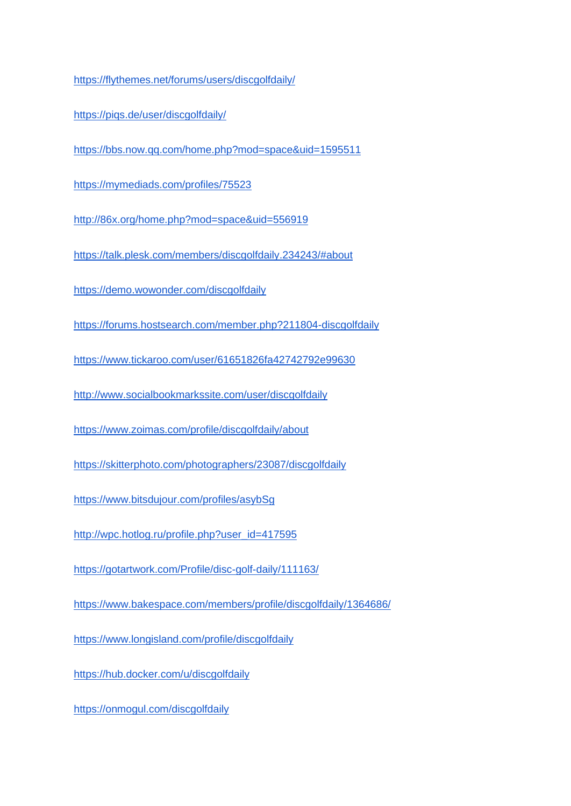<https://flythemes.net/forums/users/discgolfdaily/>

<https://piqs.de/user/discgolfdaily/>

<https://bbs.now.qq.com/home.php?mod=space&uid=1595511>

<https://mymediads.com/profiles/75523>

<http://86x.org/home.php?mod=space&uid=556919>

<https://talk.plesk.com/members/discgolfdaily.234243/#about>

<https://demo.wowonder.com/discgolfdaily>

<https://forums.hostsearch.com/member.php?211804-discgolfdaily>

<https://www.tickaroo.com/user/61651826fa42742792e99630>

<http://www.socialbookmarkssite.com/user/discgolfdaily>

<https://www.zoimas.com/profile/discgolfdaily/about>

<https://skitterphoto.com/photographers/23087/discgolfdaily>

<https://www.bitsdujour.com/profiles/asybSg>

[http://wpc.hotlog.ru/profile.php?user\\_id=417595](http://wpc.hotlog.ru/profile.php?user_id=417595)

<https://gotartwork.com/Profile/disc-golf-daily/111163/>

<https://www.bakespace.com/members/profile/discgolfdaily/1364686/>

<https://www.longisland.com/profile/discgolfdaily>

<https://hub.docker.com/u/discgolfdaily>

<https://onmogul.com/discgolfdaily>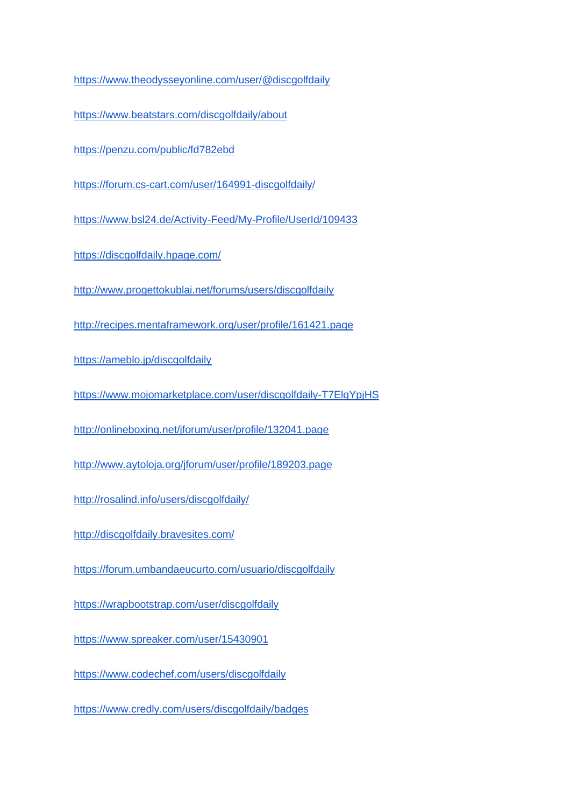<https://www.theodysseyonline.com/user/@discgolfdaily>

<https://www.beatstars.com/discgolfdaily/about>

<https://penzu.com/public/fd782ebd>

<https://forum.cs-cart.com/user/164991-discgolfdaily/>

<https://www.bsl24.de/Activity-Feed/My-Profile/UserId/109433>

<https://discgolfdaily.hpage.com/>

<http://www.progettokublai.net/forums/users/discgolfdaily>

<http://recipes.mentaframework.org/user/profile/161421.page>

<https://ameblo.jp/discgolfdaily>

<https://www.mojomarketplace.com/user/discgolfdaily-T7ElqYpjHS>

<http://onlineboxing.net/jforum/user/profile/132041.page>

<http://www.aytoloja.org/jforum/user/profile/189203.page>

<http://rosalind.info/users/discgolfdaily/>

<http://discgolfdaily.bravesites.com/>

<https://forum.umbandaeucurto.com/usuario/discgolfdaily>

<https://wrapbootstrap.com/user/discgolfdaily>

<https://www.spreaker.com/user/15430901>

<https://www.codechef.com/users/discgolfdaily>

<https://www.credly.com/users/discgolfdaily/badges>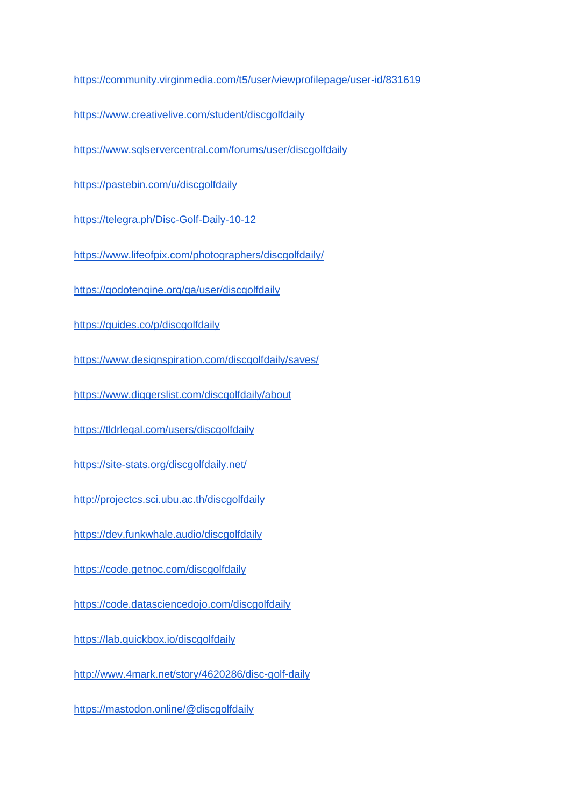<https://community.virginmedia.com/t5/user/viewprofilepage/user-id/831619>

<https://www.creativelive.com/student/discgolfdaily>

<https://www.sqlservercentral.com/forums/user/discgolfdaily>

<https://pastebin.com/u/discgolfdaily>

<https://telegra.ph/Disc-Golf-Daily-10-12>

<https://www.lifeofpix.com/photographers/discgolfdaily/>

<https://godotengine.org/qa/user/discgolfdaily>

<https://guides.co/p/discgolfdaily>

<https://www.designspiration.com/discgolfdaily/saves/>

<https://www.diggerslist.com/discgolfdaily/about>

<https://tldrlegal.com/users/discgolfdaily>

<https://site-stats.org/discgolfdaily.net/>

<http://projectcs.sci.ubu.ac.th/discgolfdaily>

<https://dev.funkwhale.audio/discgolfdaily>

<https://code.getnoc.com/discgolfdaily>

<https://code.datasciencedojo.com/discgolfdaily>

<https://lab.quickbox.io/discgolfdaily>

<http://www.4mark.net/story/4620286/disc-golf-daily>

<https://mastodon.online/@discgolfdaily>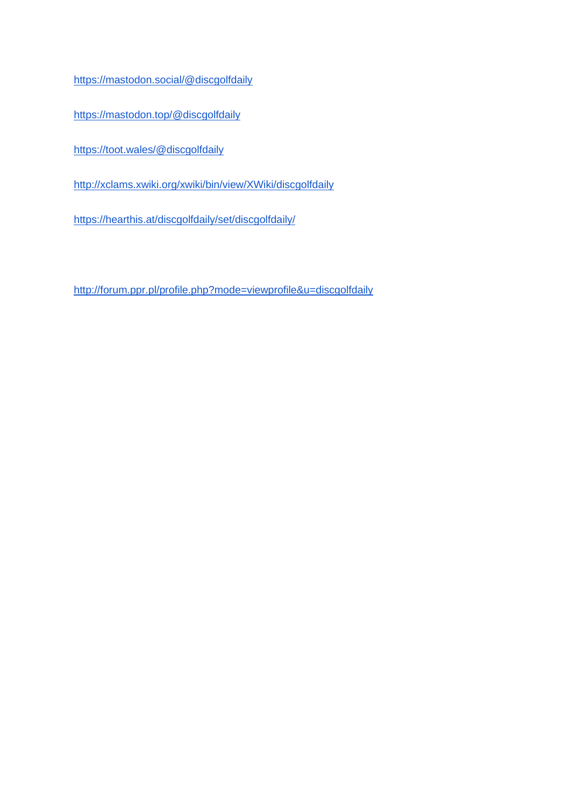<https://mastodon.social/@discgolfdaily>

<https://mastodon.top/@discgolfdaily>

<https://toot.wales/@discgolfdaily>

<http://xclams.xwiki.org/xwiki/bin/view/XWiki/discgolfdaily>

<https://hearthis.at/discgolfdaily/set/discgolfdaily/>

<http://forum.ppr.pl/profile.php?mode=viewprofile&u=discgolfdaily>